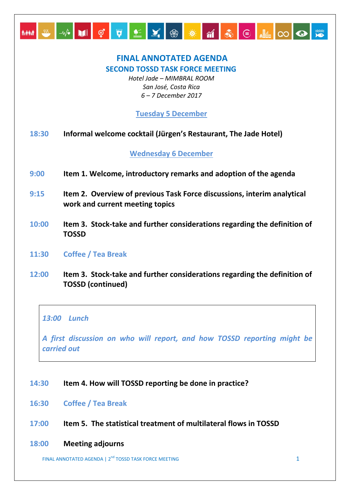# MM ₩ ₩ ₩ UI Ç Ţ Ł Y ® <del>X</del> M & E M O Q <del>X</del>

# **FINAL ANNOTATED AGENDA SECOND TOSSD TASK FORCE MEETING**

*Hotel Jade – MIMBRAL ROOM San José, Costa Rica 6 – 7 December 2017*

## **Tuesday 5 December**

**18:30 Informal welcome cocktail (Jürgen's Restaurant, The Jade Hotel)**

**Wednesday 6 December**

- **9:00 Item 1. Welcome, introductory remarks and adoption of the agenda**
- **9:15 Item 2. Overview of previous Task Force discussions, interim analytical work and current meeting topics**
- **10:00 Item 3. Stock-take and further considerations regarding the definition of TOSSD**
- **11:30 Coffee / Tea Break**
- **12:00 Item 3. Stock-take and further considerations regarding the definition of TOSSD (continued)**

## *13:00 Lunch*

*A first discussion on who will report, and how TOSSD reporting might be carried out* 

#### **14:30 Item 4. How will TOSSD reporting be done in practice?**

- **16:30 Coffee / Tea Break**
- **17:00 Item 5. The statistical treatment of multilateral flows in TOSSD**
- **18:00 Meeting adjourns**

FINAL ANNOTATED AGENDA |  $2^{nd}$  TOSSD TASK FORCE MEETING  $1$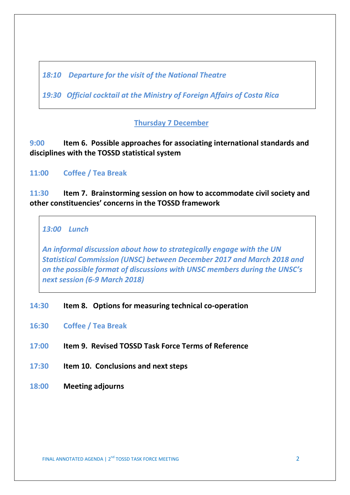*18:10 Departure for the visit of the National Theatre*

*19:30 Official cocktail at the Ministry of Foreign Affairs of Costa Rica*

## **Thursday 7 December**

**9:00 Item 6. Possible approaches for associating international standards and disciplines with the TOSSD statistical system**

**11:00 Coffee / Tea Break**

**11:30 Item 7. Brainstorming session on how to accommodate civil society and other constituencies' concerns in the TOSSD framework** 

*13:00 Lunch* 

*An informal discussion about how to strategically engage with the UN Statistical Commission (UNSC) between December 2017 and March 2018 and on the possible format of discussions with UNSC members during the UNSC's next session (6-9 March 2018)* 

- **14:30 Item 8. Options for measuring technical co-operation**
- **16:30 Coffee / Tea Break**
- **17:00 Item 9. Revised TOSSD Task Force Terms of Reference**
- **17:30 Item 10. Conclusions and next steps**
- **18:00 Meeting adjourns**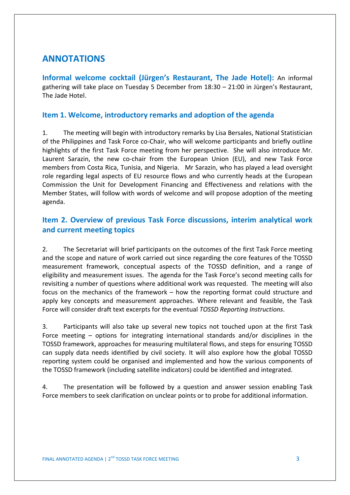# **ANNOTATIONS**

**Informal welcome cocktail (Jürgen's Restaurant, The Jade Hotel):** An informal gathering will take place on Tuesday 5 December from 18:30 – 21:00 in Jürgen's Restaurant, The Jade Hotel.

#### **Item 1. Welcome, introductory remarks and adoption of the agenda**

1. The meeting will begin with introductory remarks by Lisa Bersales, National Statistician of the Philippines and Task Force co-Chair, who will welcome participants and briefly outline highlights of the first Task Force meeting from her perspective. She will also introduce Mr. Laurent Sarazin, the new co-chair from the European Union (EU), and new Task Force members from Costa Rica, Tunisia, and Nigeria. Mr Sarazin, who has played a lead oversight role regarding legal aspects of EU resource flows and who currently heads at the European Commission the Unit for Development Financing and Effectiveness and relations with the Member States, will follow with words of welcome and will propose adoption of the meeting agenda.

## **Item 2. Overview of previous Task Force discussions, interim analytical work and current meeting topics**

2. The Secretariat will brief participants on the outcomes of the first Task Force meeting and the scope and nature of work carried out since regarding the core features of the TOSSD measurement framework, conceptual aspects of the TOSSD definition, and a range of eligibility and measurement issues. The agenda for the Task Force's second meeting calls for revisiting a number of questions where additional work was requested. The meeting will also focus on the mechanics of the framework – how the reporting format could structure and apply key concepts and measurement approaches. Where relevant and feasible, the Task Force will consider draft text excerpts for the eventual *TOSSD Reporting Instructions*.

3. Participants will also take up several new topics not touched upon at the first Task Force meeting – options for integrating international standards and/or disciplines in the TOSSD framework, approaches for measuring multilateral flows, and steps for ensuring TOSSD can supply data needs identified by civil society. It will also explore how the global TOSSD reporting system could be organised and implemented and how the various components of the TOSSD framework (including satellite indicators) could be identified and integrated.

4. The presentation will be followed by a question and answer session enabling Task Force members to seek clarification on unclear points or to probe for additional information.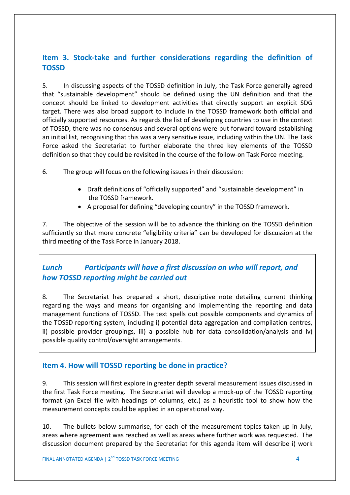## **Item 3. Stock-take and further considerations regarding the definition of TOSSD**

5. In discussing aspects of the TOSSD definition in July, the Task Force generally agreed that "sustainable development" should be defined using the UN definition and that the concept should be linked to development activities that directly support an explicit SDG target. There was also broad support to include in the TOSSD framework both official and officially supported resources. As regards the list of developing countries to use in the context of TOSSD, there was no consensus and several options were put forward toward establishing an initial list, recognising that this was a very sensitive issue, including within the UN. The Task Force asked the Secretariat to further elaborate the three key elements of the TOSSD definition so that they could be revisited in the course of the follow-on Task Force meeting.

6. The group will focus on the following issues in their discussion:

- Draft definitions of "officially supported" and "sustainable development" in the TOSSD framework.
- A proposal for defining "developing country" in the TOSSD framework.

7. The objective of the session will be to advance the thinking on the TOSSD definition sufficiently so that more concrete "eligibility criteria" can be developed for discussion at the third meeting of the Task Force in January 2018.

## *Lunch Participants will have a first discussion on who will report, and how TOSSD reporting might be carried out*

8. The Secretariat has prepared a short, descriptive note detailing current thinking regarding the ways and means for organising and implementing the reporting and data management functions of TOSSD. The text spells out possible components and dynamics of the TOSSD reporting system, including i) potential data aggregation and compilation centres, ii) possible provider groupings, iii) a possible hub for data consolidation/analysis and iv) possible quality control/oversight arrangements.

## **Item 4. How will TOSSD reporting be done in practice?**

9. This session will first explore in greater depth several measurement issues discussed in the first Task Force meeting. The Secretariat will develop a mock-up of the TOSSD reporting format (an Excel file with headings of columns, etc.) as a heuristic tool to show how the measurement concepts could be applied in an operational way.

10. The bullets below summarise, for each of the measurement topics taken up in July, areas where agreement was reached as well as areas where further work was requested. The discussion document prepared by the Secretariat for this agenda item will describe i) work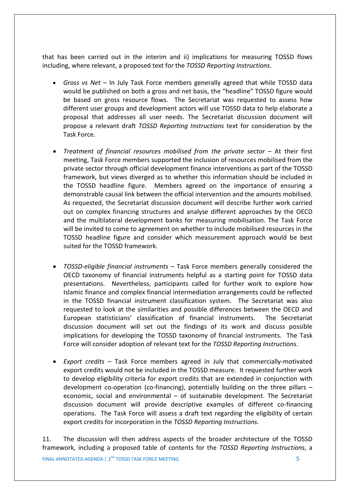that has been carried out in the interim and ii) implications for measuring TOSSD flows including, where relevant, a proposed text for the *TOSSD Reporting Instructions*.

- *Gross vs Net* In July Task Force members generally agreed that while TOSSD data would be published on both a gross and net basis, the "headline" TOSSD figure would be based on gross resource flows. The Secretariat was requested to assess how different user groups and development actors will use TOSSD data to help elaborate a proposal that addresses all user needs. The Secretariat discussion document will propose a relevant draft *TOSSD Reporting Instructions* text for consideration by the Task Force.
- *Treatment of financial resources mobilised from the private sector* At their first meeting, Task Force members supported the inclusion of resources mobilised from the private sector through official development finance interventions as part of the TOSSD framework, but views diverged as to whether this information should be included in the TOSSD headline figure. Members agreed on the importance of ensuring a demonstrable causal link between the official intervention and the amounts mobilised. As requested, the Secretariat discussion document will describe further work carried out on complex financing structures and analyse different approaches by the OECD and the multilateral development banks for measuring mobilisation. The Task Force will be invited to come to agreement on whether to include mobilised resources in the TOSSD headline figure and consider which measurement approach would be best suited for the TOSSD framework.
- *TOSSD-eligible financial instruments* Task Force members generally considered the OECD taxonomy of financial instruments helpful as a starting point for TOSSD data presentations. Nevertheless, participants called for further work to explore how Islamic finance and complex financial intermediation arrangements could be reflected in the TOSSD financial instrument classification system. The Secretariat was also requested to look at the similarities and possible differences between the OECD and European statisticians' classification of financial instruments. The Secretariat discussion document will set out the findings of its work and discuss possible implications for developing the TOSSD taxonomy of financial instruments. The Task Force will consider adoption of relevant text for the *TOSSD Reporting Instructions*.
- *Export credits* Task Force members agreed in July that commercially-motivated export credits would not be included in the TOSSD measure. It requested further work to develop eligibility criteria for export credits that are extended in conjunction with development co-operation (co-financing), potentially building on the three pillars – economic, social and environmental – of sustainable development. The Secretariat discussion document will provide descriptive examples of different co-financing operations. The Task Force will assess a draft text regarding the eligibility of certain export credits for incorporation in the *TOSSD Reporting Instructions*.

11. The discussion will then address aspects of the broader architecture of the TOSSD framework, including a proposed table of contents for the *TOSSD Reporting Instructions*, a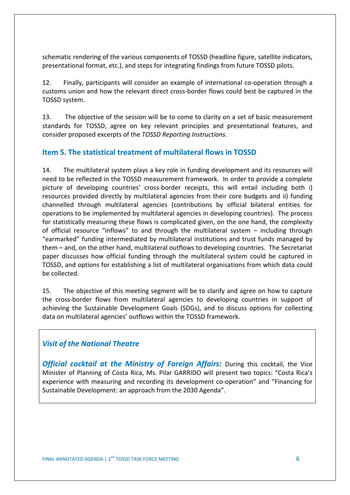schematic rendering of the various components of TOSSD (headline figure, satellite indicators, presentational format, etc.), and steps for integrating findings from future TOSSD pilots.

12. Finally, participants will consider an example of international co-operation through a customs union and how the relevant direct cross-border flows could best be captured in the TOSSD system.

13. The objective of the session will be to come to clarity on a set of basic measurement standards for TOSSD, agree on key relevant principles and presentational features, and consider proposed excerpts of the *TOSSD Reporting Instructions*.

## **Item 5. The statistical treatment of multilateral flows in TOSSD**

14. The multilateral system plays a key role in funding development and its resources will need to be reflected in the TOSSD measurement framework. In order to provide a complete picture of developing countries' cross-border receipts, this will entail including both i) resources provided directly by multilateral agencies from their core budgets and ii) funding channelled through multilateral agencies (contributions by official bilateral entities for operations to be implemented by multilateral agencies in developing countries). The process for statistically measuring these flows is complicated given, on the one hand, the complexity of official resource "inflows" to and through the multilateral system – including through "earmarked" funding intermediated by multilateral institutions and trust funds managed by them – and, on the other hand, multilateral outflows to developing countries. The Secretariat paper discusses how official funding through the multilateral system could be captured in TOSSD, and options for establishing a list of multilateral organisations from which data could be collected.

15. The objective of this meeting segment will be to clarify and agree on how to capture the cross-border flows from multilateral agencies to developing countries in support of achieving the Sustainable Development Goals (SDGs), and to discuss options for collecting data on multilateral agencies' outflows within the TOSSD framework.

## *Visit of the National Theatre*

*Official cocktail at the Ministry of Foreign Affairs:* During this cocktail, the Vice Minister of Planning of Costa Rica, Ms. Pilar GARRIDO will present two topics: "Costa Rica's experience with measuring and recording its development co-operation" and "Financing for Sustainable Development: an approach from the 2030 Agenda".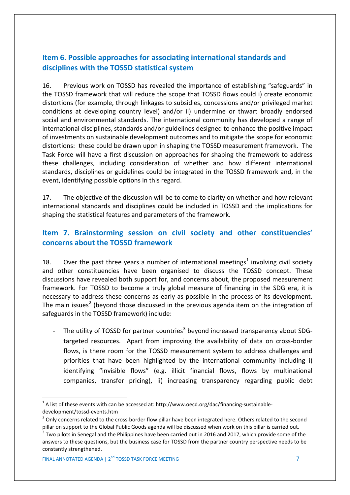## **Item 6. Possible approaches for associating international standards and disciplines with the TOSSD statistical system**

16. Previous work on TOSSD has revealed the importance of establishing "safeguards" in the TOSSD framework that will reduce the scope that TOSSD flows could i) create economic distortions (for example, through linkages to subsidies, concessions and/or privileged market conditions at developing country level) and/or ii) undermine or thwart broadly endorsed social and environmental standards. The international community has developed a range of international disciplines, standards and/or guidelines designed to enhance the positive impact of investments on sustainable development outcomes and to mitigate the scope for economic distortions: these could be drawn upon in shaping the TOSSD measurement framework. The Task Force will have a first discussion on approaches for shaping the framework to address these challenges, including consideration of whether and how different international standards, disciplines or guidelines could be integrated in the TOSSD framework and, in the event, identifying possible options in this regard.

17. The objective of the discussion will be to come to clarity on whether and how relevant international standards and disciplines could be included in TOSSD and the implications for shaping the statistical features and parameters of the framework.

## **Item 7. Brainstorming session on civil society and other constituencies' concerns about the TOSSD framework**

[1](#page-6-0)8. Over the past three years a number of international meetings<sup>1</sup> involving civil society and other constituencies have been organised to discuss the TOSSD concept. These discussions have revealed both support for, and concerns about, the proposed measurement framework. For TOSSD to become a truly global measure of financing in the SDG era, it is necessary to address these concerns as early as possible in the process of its development. The main issues<sup>[2](#page-6-1)</sup> (beyond those discussed in the previous agenda item on the integration of safeguards in the TOSSD framework) include:

The utility of TOSSD for partner countries<sup>[3](#page-6-2)</sup> beyond increased transparency about SDGtargeted resources. Apart from improving the availability of data on cross-border flows, is there room for the TOSSD measurement system to address challenges and priorities that have been highlighted by the international community including i) identifying "invisible flows" (e.g. illicit financial flows, flows by multinational companies, transfer pricing), ii) increasing transparency regarding public debt

<span id="page-6-0"></span> $1$  A list of these events with can be accessed at: http://www.oecd.org/dac/financing-sustainable-

development/tossd-events.htm

<span id="page-6-1"></span><sup>&</sup>lt;sup>2</sup> Only concerns related to the cross-border flow pillar have been integrated here. Others related to the second pillar on support to the Global Public Goods agenda will be discussed when work on this pillar is carried out.

<span id="page-6-2"></span>Two pilots in Senegal and the Philippines have been carried out in 2016 and 2017, which provide some of the answers to these questions, but the business case for TOSSD from the partner country perspective needs to be constantly strengthened.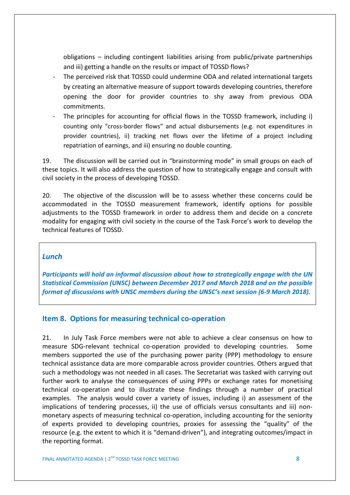obligations – including contingent liabilities arising from public/private partnerships and iii) getting a handle on the results or impact of TOSSD flows?

- The perceived risk that TOSSD could undermine ODA and related international targets by creating an alternative measure of support towards developing countries, therefore opening the door for provider countries to shy away from previous ODA commitments.
- The principles for accounting for official flows in the TOSSD framework, including i) counting only "cross-border flows" and actual disbursements (e.g. not expenditures in provider countries), ii) tracking net flows over the lifetime of a project including repatriation of earnings, and iii) ensuring no double counting.

19. The discussion will be carried out in "brainstorming mode" in small groups on each of these topics. It will also address the question of how to strategically engage and consult with civil society in the process of developing TOSSD.

20. The objective of the discussion will be to assess whether these concerns could be accommodated in the TOSSD measurement framework, identify options for possible adjustments to the TOSSD framework in order to address them and decide on a concrete modality for engaging with civil society in the course of the Task Force's work to develop the technical features of TOSSD.

#### *Lunch*

*Participants will hold an informal discussion about how to strategically engage with the UN Statistical Commission (UNSC) between December 2017 and March 2018 and on the possible format of discussions with UNSC members during the UNSC's next session (6-9 March 2018).*

## **Item 8. Options for measuring technical co-operation**

21. In July Task Force members were not able to achieve a clear consensus on how to measure SDG-relevant technical co-operation provided to developing countries. Some members supported the use of the purchasing power parity (PPP) methodology to ensure technical assistance data are more comparable across provider countries. Others argued that such a methodology was not needed in all cases. The Secretariat was tasked with carrying out further work to analyse the consequences of using PPPs or exchange rates for monetising technical co-operation and to illustrate these findings through a number of practical examples. The analysis would cover a variety of issues, including i) an assessment of the implications of tendering processes, ii) the use of officials versus consultants and iii) nonmonetary aspects of measuring technical co-operation, including accounting for the seniority of experts provided to developing countries, proxies for assessing the "quality" of the resource (e.g. the extent to which it is "demand-driven"), and integrating outcomes/impact in the reporting format.